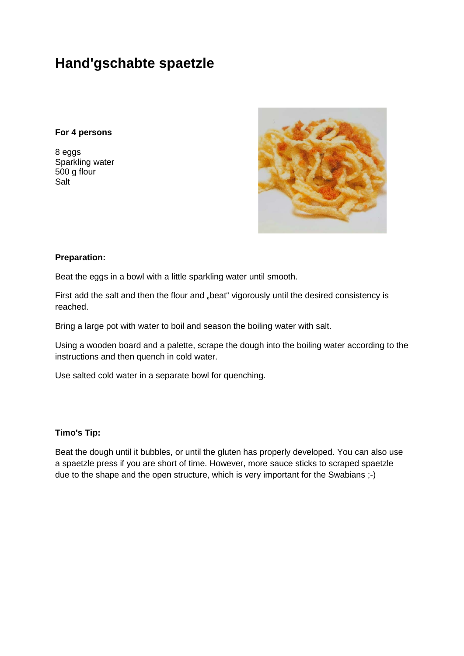# **Hand'gschabte spaetzle**

# **For 4 persons**

8 eggs Sparkling water 500 g flour Salt



### **Preparation:**

Beat the eggs in a bowl with a little sparkling water until smooth.

First add the salt and then the flour and "beat" vigorously until the desired consistency is reached.

Bring a large pot with water to boil and season the boiling water with salt.

Using a wooden board and a palette, scrape the dough into the boiling water according to the instructions and then quench in cold water.

Use salted cold water in a separate bowl for quenching.

### **Timo's Tip:**

Beat the dough until it bubbles, or until the gluten has properly developed. You can also use a spaetzle press if you are short of time. However, more sauce sticks to scraped spaetzle due to the shape and the open structure, which is very important for the Swabians ;-)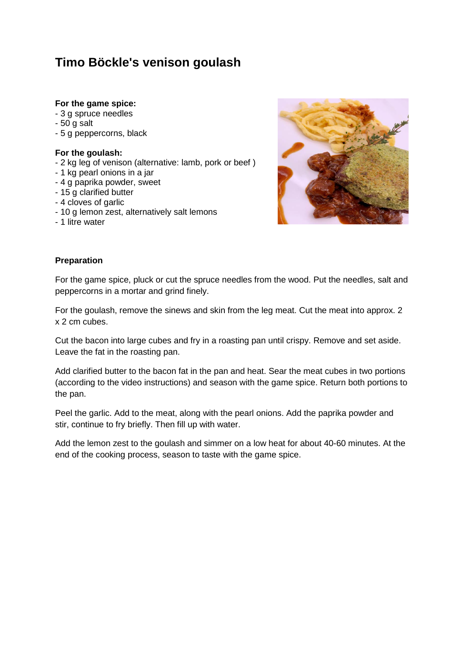# **Timo Böckle's venison goulash**

# **For the game spice:**

- 3 g spruce needles
- 50 g salt
- 5 g peppercorns, black

# **For the goulash:**

- 2 kg leg of venison (alternative: lamb, pork or beef )
- 1 kg pearl onions in a jar
- 4 g paprika powder, sweet
- 15 g clarified butter
- 4 cloves of garlic
- 10 g lemon zest, alternatively salt lemons
- 1 litre water



### **Preparation**

For the game spice, pluck or cut the spruce needles from the wood. Put the needles, salt and peppercorns in a mortar and grind finely.

For the goulash, remove the sinews and skin from the leg meat. Cut the meat into approx. 2 x 2 cm cubes.

Cut the bacon into large cubes and fry in a roasting pan until crispy. Remove and set aside. Leave the fat in the roasting pan.

Add clarified butter to the bacon fat in the pan and heat. Sear the meat cubes in two portions (according to the video instructions) and season with the game spice. Return both portions to the pan.

Peel the garlic. Add to the meat, along with the pearl onions. Add the paprika powder and stir, continue to fry briefly. Then fill up with water.

Add the lemon zest to the goulash and simmer on a low heat for about 40-60 minutes. At the end of the cooking process, season to taste with the game spice.